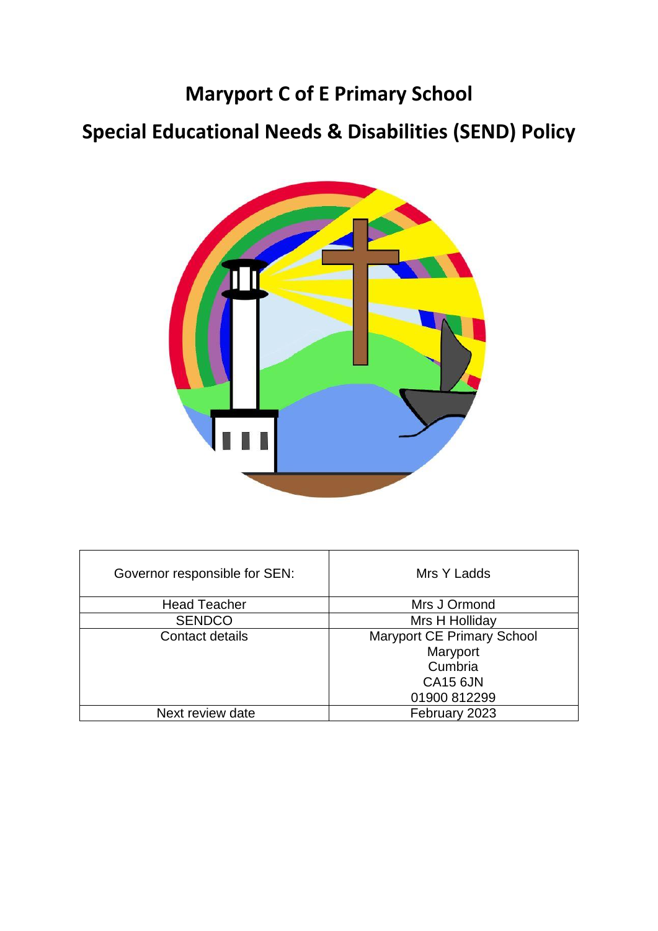# **Maryport C of E Primary School**

# **Special Educational Needs & Disabilities (SEND) Policy**



| Governor responsible for SEN: | Mrs Y Ladds                       |
|-------------------------------|-----------------------------------|
| <b>Head Teacher</b>           | Mrs J Ormond                      |
| <b>SENDCO</b>                 | Mrs H Holliday                    |
| Contact details               | <b>Maryport CE Primary School</b> |
|                               | Maryport                          |
|                               | Cumbria                           |
|                               | <b>CA15 6JN</b>                   |
|                               | 01900 812299                      |
| Next review date              | February 2023                     |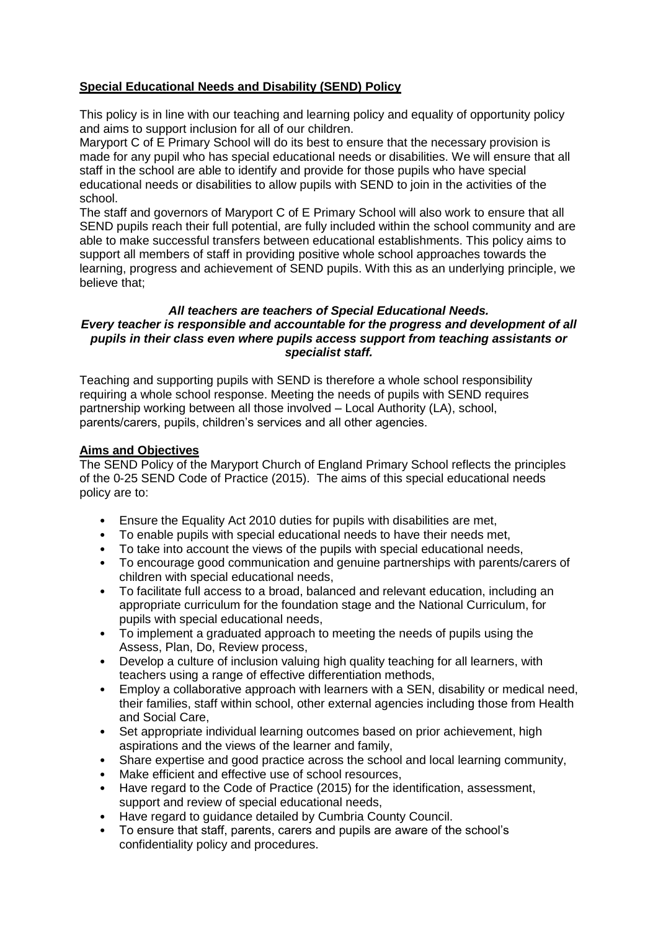# **Special Educational Needs and Disability (SEND) Policy**

This policy is in line with our teaching and learning policy and equality of opportunity policy and aims to support inclusion for all of our children.

Maryport C of E Primary School will do its best to ensure that the necessary provision is made for any pupil who has special educational needs or disabilities. We will ensure that all staff in the school are able to identify and provide for those pupils who have special educational needs or disabilities to allow pupils with SEND to join in the activities of the school.

The staff and governors of Maryport C of E Primary School will also work to ensure that all SEND pupils reach their full potential, are fully included within the school community and are able to make successful transfers between educational establishments. This policy aims to support all members of staff in providing positive whole school approaches towards the learning, progress and achievement of SEND pupils. With this as an underlying principle, we believe that;

#### *All teachers are teachers of Special Educational Needs. Every teacher is responsible and accountable for the progress and development of all pupils in their class even where pupils access support from teaching assistants or specialist staff.*

Teaching and supporting pupils with SEND is therefore a whole school responsibility requiring a whole school response. Meeting the needs of pupils with SEND requires partnership working between all those involved – Local Authority (LA), school, parents/carers, pupils, children's services and all other agencies.

# **Aims and Objectives**

The SEND Policy of the Maryport Church of England Primary School reflects the principles of the 0-25 SEND Code of Practice (2015). The aims of this special educational needs policy are to:

- Ensure the Equality Act 2010 duties for pupils with disabilities are met,
- To enable pupils with special educational needs to have their needs met,
- To take into account the views of the pupils with special educational needs,
- To encourage good communication and genuine partnerships with parents/carers of children with special educational needs,
- To facilitate full access to a broad, balanced and relevant education, including an appropriate curriculum for the foundation stage and the National Curriculum, for pupils with special educational needs,
- To implement a graduated approach to meeting the needs of pupils using the Assess, Plan, Do, Review process,
- Develop a culture of inclusion valuing high quality teaching for all learners, with teachers using a range of effective differentiation methods,
- Employ a collaborative approach with learners with a SEN, disability or medical need, their families, staff within school, other external agencies including those from Health and Social Care,
- Set appropriate individual learning outcomes based on prior achievement, high aspirations and the views of the learner and family,
- Share expertise and good practice across the school and local learning community,
- Make efficient and effective use of school resources,
- Have regard to the Code of Practice (2015) for the identification, assessment, support and review of special educational needs,
- Have regard to guidance detailed by Cumbria County Council.
- To ensure that staff, parents, carers and pupils are aware of the school's confidentiality policy and procedures.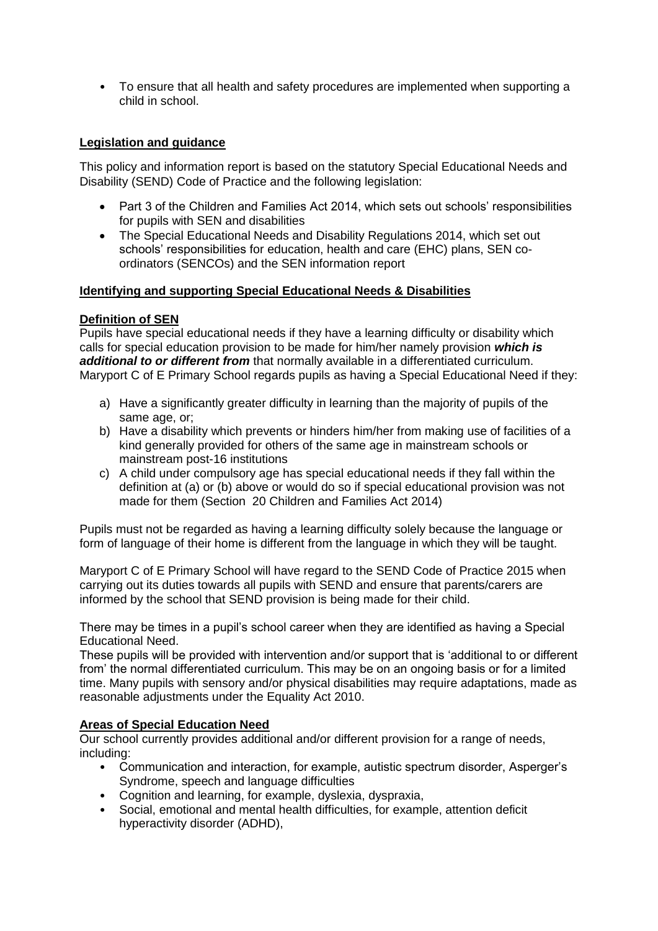• To ensure that all health and safety procedures are implemented when supporting a child in school.

# **Legislation and guidance**

This policy and information report is based on the statutory Special Educational Needs and Disability (SEND) Code of Practice and the following legislation:

- Part 3 of the Children and Families Act 2014, which sets out schools' responsibilities for pupils with SEN and disabilities
- The Special Educational Needs and Disability Regulations 2014, which set out schools' responsibilities for education, health and care (EHC) plans, SEN coordinators (SENCOs) and the SEN information report

#### **Identifying and supporting Special Educational Needs & Disabilities**

#### **Definition of SEN**

Pupils have special educational needs if they have a learning difficulty or disability which calls for special education provision to be made for him/her namely provision *which is additional to or different from* that normally available in a differentiated curriculum. Maryport C of E Primary School regards pupils as having a Special Educational Need if they:

- a) Have a significantly greater difficulty in learning than the majority of pupils of the same age, or;
- b) Have a disability which prevents or hinders him/her from making use of facilities of a kind generally provided for others of the same age in mainstream schools or mainstream post-16 institutions
- c) A child under compulsory age has special educational needs if they fall within the definition at (a) or (b) above or would do so if special educational provision was not made for them (Section 20 Children and Families Act 2014)

Pupils must not be regarded as having a learning difficulty solely because the language or form of language of their home is different from the language in which they will be taught.

Maryport C of E Primary School will have regard to the SEND Code of Practice 2015 when carrying out its duties towards all pupils with SEND and ensure that parents/carers are informed by the school that SEND provision is being made for their child.

There may be times in a pupil's school career when they are identified as having a Special Educational Need.

These pupils will be provided with intervention and/or support that is 'additional to or different from' the normal differentiated curriculum. This may be on an ongoing basis or for a limited time. Many pupils with sensory and/or physical disabilities may require adaptations, made as reasonable adjustments under the Equality Act 2010.

#### **Areas of Special Education Need**

Our school currently provides additional and/or different provision for a range of needs, including:

- Communication and interaction, for example, autistic spectrum disorder, Asperger's Syndrome, speech and language difficulties
- Cognition and learning, for example, dyslexia, dyspraxia,
- Social, emotional and mental health difficulties, for example, attention deficit hyperactivity disorder (ADHD),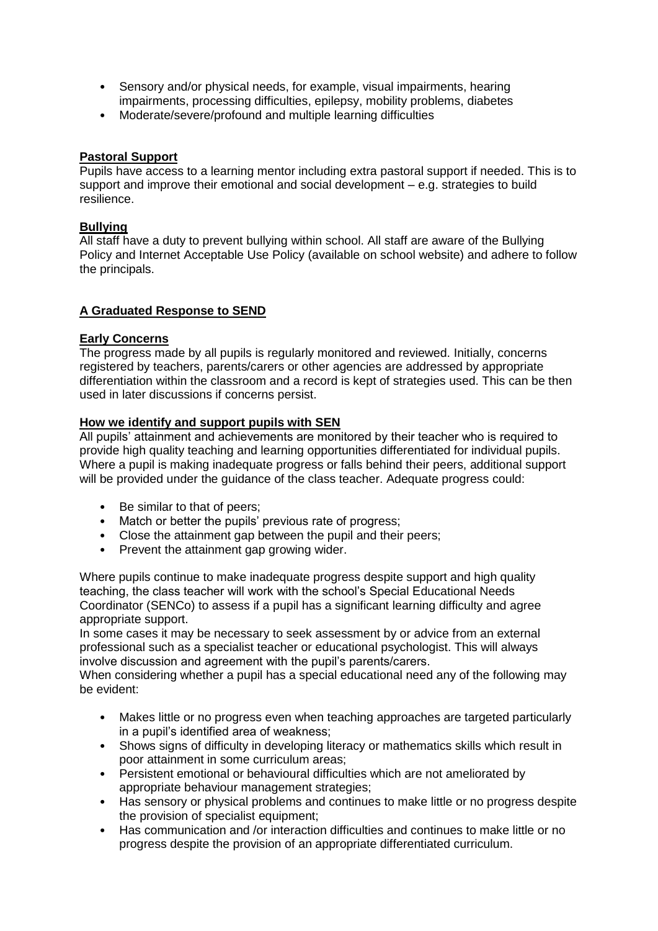- Sensory and/or physical needs, for example, visual impairments, hearing impairments, processing difficulties, epilepsy, mobility problems, diabetes
- Moderate/severe/profound and multiple learning difficulties

#### **Pastoral Support**

Pupils have access to a learning mentor including extra pastoral support if needed. This is to support and improve their emotional and social development – e.g. strategies to build resilience.

#### **Bullying**

All staff have a duty to prevent bullying within school. All staff are aware of the Bullying Policy and Internet Acceptable Use Policy (available on school website) and adhere to follow the principals.

#### **A Graduated Response to SEND**

#### **Early Concerns**

The progress made by all pupils is regularly monitored and reviewed. Initially, concerns registered by teachers, parents/carers or other agencies are addressed by appropriate differentiation within the classroom and a record is kept of strategies used. This can be then used in later discussions if concerns persist.

#### **How we identify and support pupils with SEN**

All pupils' attainment and achievements are monitored by their teacher who is required to provide high quality teaching and learning opportunities differentiated for individual pupils. Where a pupil is making inadequate progress or falls behind their peers, additional support will be provided under the guidance of the class teacher. Adequate progress could:

- Be similar to that of peers;
- Match or better the pupils' previous rate of progress;
- Close the attainment gap between the pupil and their peers;
- Prevent the attainment gap growing wider.

Where pupils continue to make inadequate progress despite support and high quality teaching, the class teacher will work with the school's Special Educational Needs Coordinator (SENCo) to assess if a pupil has a significant learning difficulty and agree appropriate support.

In some cases it may be necessary to seek assessment by or advice from an external professional such as a specialist teacher or educational psychologist. This will always involve discussion and agreement with the pupil's parents/carers.

When considering whether a pupil has a special educational need any of the following may be evident:

- Makes little or no progress even when teaching approaches are targeted particularly in a pupil's identified area of weakness;
- Shows signs of difficulty in developing literacy or mathematics skills which result in poor attainment in some curriculum areas;
- Persistent emotional or behavioural difficulties which are not ameliorated by appropriate behaviour management strategies;
- Has sensory or physical problems and continues to make little or no progress despite the provision of specialist equipment;
- Has communication and /or interaction difficulties and continues to make little or no progress despite the provision of an appropriate differentiated curriculum.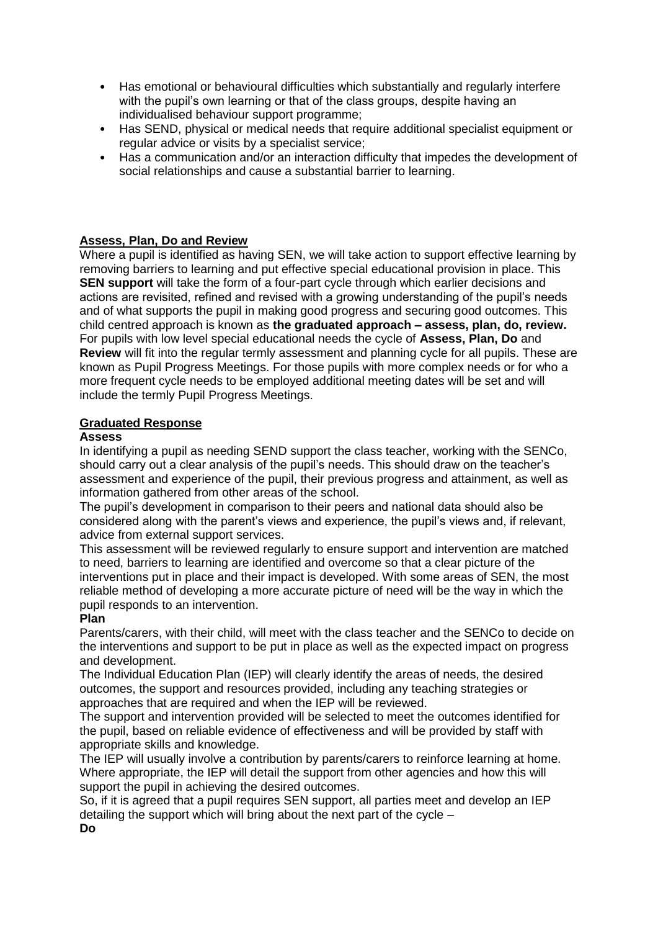- Has emotional or behavioural difficulties which substantially and regularly interfere with the pupil's own learning or that of the class groups, despite having an individualised behaviour support programme;
- Has SEND, physical or medical needs that require additional specialist equipment or regular advice or visits by a specialist service;
- Has a communication and/or an interaction difficulty that impedes the development of social relationships and cause a substantial barrier to learning.

# **Assess, Plan, Do and Review**

Where a pupil is identified as having SEN, we will take action to support effective learning by removing barriers to learning and put effective special educational provision in place. This **SEN support** will take the form of a four-part cycle through which earlier decisions and actions are revisited, refined and revised with a growing understanding of the pupil's needs and of what supports the pupil in making good progress and securing good outcomes. This child centred approach is known as **the graduated approach – assess, plan, do, review.**  For pupils with low level special educational needs the cycle of **Assess, Plan, Do** and **Review** will fit into the regular termly assessment and planning cycle for all pupils. These are known as Pupil Progress Meetings. For those pupils with more complex needs or for who a more frequent cycle needs to be employed additional meeting dates will be set and will include the termly Pupil Progress Meetings.

#### **Graduated Response**

#### **Assess**

In identifying a pupil as needing SEND support the class teacher, working with the SENCo, should carry out a clear analysis of the pupil's needs. This should draw on the teacher's assessment and experience of the pupil, their previous progress and attainment, as well as information gathered from other areas of the school.

The pupil's development in comparison to their peers and national data should also be considered along with the parent's views and experience, the pupil's views and, if relevant, advice from external support services.

This assessment will be reviewed regularly to ensure support and intervention are matched to need, barriers to learning are identified and overcome so that a clear picture of the interventions put in place and their impact is developed. With some areas of SEN, the most reliable method of developing a more accurate picture of need will be the way in which the pupil responds to an intervention.

#### **Plan**

Parents/carers, with their child, will meet with the class teacher and the SENCo to decide on the interventions and support to be put in place as well as the expected impact on progress and development.

The Individual Education Plan (IEP) will clearly identify the areas of needs, the desired outcomes, the support and resources provided, including any teaching strategies or approaches that are required and when the IEP will be reviewed.

The support and intervention provided will be selected to meet the outcomes identified for the pupil, based on reliable evidence of effectiveness and will be provided by staff with appropriate skills and knowledge.

The IEP will usually involve a contribution by parents/carers to reinforce learning at home. Where appropriate, the IEP will detail the support from other agencies and how this will support the pupil in achieving the desired outcomes.

So, if it is agreed that a pupil requires SEN support, all parties meet and develop an IEP detailing the support which will bring about the next part of the cycle –

**Do**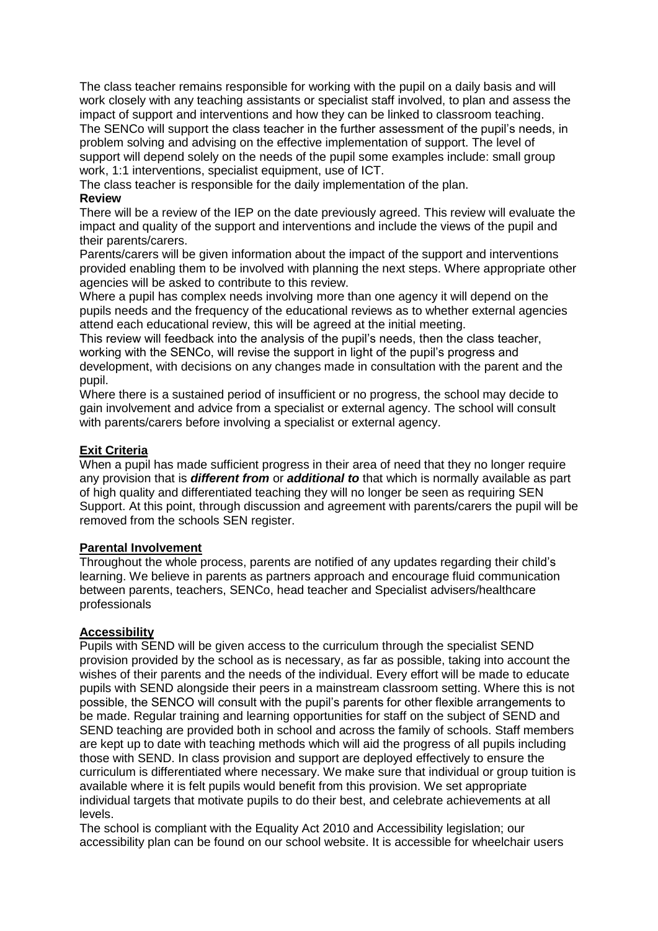The class teacher remains responsible for working with the pupil on a daily basis and will work closely with any teaching assistants or specialist staff involved, to plan and assess the impact of support and interventions and how they can be linked to classroom teaching. The SENCo will support the class teacher in the further assessment of the pupil's needs, in problem solving and advising on the effective implementation of support. The level of support will depend solely on the needs of the pupil some examples include: small group work, 1:1 interventions, specialist equipment, use of ICT.

The class teacher is responsible for the daily implementation of the plan.

#### **Review**

There will be a review of the IEP on the date previously agreed. This review will evaluate the impact and quality of the support and interventions and include the views of the pupil and their parents/carers.

Parents/carers will be given information about the impact of the support and interventions provided enabling them to be involved with planning the next steps. Where appropriate other agencies will be asked to contribute to this review.

Where a pupil has complex needs involving more than one agency it will depend on the pupils needs and the frequency of the educational reviews as to whether external agencies attend each educational review, this will be agreed at the initial meeting.

This review will feedback into the analysis of the pupil's needs, then the class teacher, working with the SENCo, will revise the support in light of the pupil's progress and development, with decisions on any changes made in consultation with the parent and the pupil.

Where there is a sustained period of insufficient or no progress, the school may decide to gain involvement and advice from a specialist or external agency. The school will consult with parents/carers before involving a specialist or external agency.

#### **Exit Criteria**

When a pupil has made sufficient progress in their area of need that they no longer require any provision that is *different from* or *additional to* that which is normally available as part of high quality and differentiated teaching they will no longer be seen as requiring SEN Support. At this point, through discussion and agreement with parents/carers the pupil will be removed from the schools SEN register.

#### **Parental Involvement**

Throughout the whole process, parents are notified of any updates regarding their child's learning. We believe in parents as partners approach and encourage fluid communication between parents, teachers, SENCo, head teacher and Specialist advisers/healthcare professionals

#### **Accessibility**

Pupils with SEND will be given access to the curriculum through the specialist SEND provision provided by the school as is necessary, as far as possible, taking into account the wishes of their parents and the needs of the individual. Every effort will be made to educate pupils with SEND alongside their peers in a mainstream classroom setting. Where this is not possible, the SENCO will consult with the pupil's parents for other flexible arrangements to be made. Regular training and learning opportunities for staff on the subject of SEND and SEND teaching are provided both in school and across the family of schools. Staff members are kept up to date with teaching methods which will aid the progress of all pupils including those with SEND. In class provision and support are deployed effectively to ensure the curriculum is differentiated where necessary. We make sure that individual or group tuition is available where it is felt pupils would benefit from this provision. We set appropriate individual targets that motivate pupils to do their best, and celebrate achievements at all levels.

The school is compliant with the Equality Act 2010 and Accessibility legislation; our accessibility plan can be found on our school website. It is accessible for wheelchair users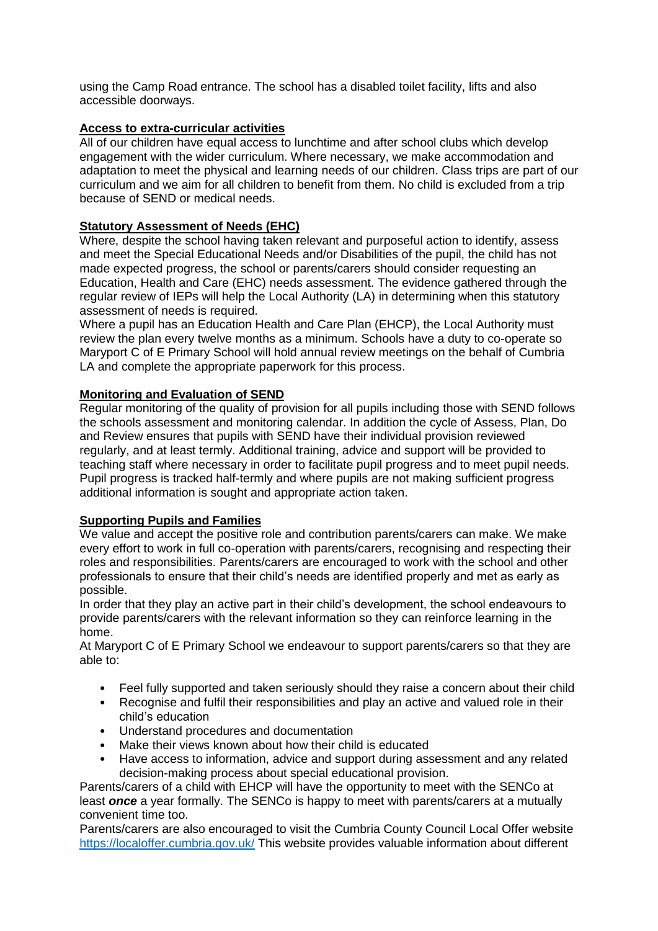using the Camp Road entrance. The school has a disabled toilet facility, lifts and also accessible doorways.

### **Access to extra-curricular activities**

All of our children have equal access to lunchtime and after school clubs which develop engagement with the wider curriculum. Where necessary, we make accommodation and adaptation to meet the physical and learning needs of our children. Class trips are part of our curriculum and we aim for all children to benefit from them. No child is excluded from a trip because of SEND or medical needs.

# **Statutory Assessment of Needs (EHC)**

Where, despite the school having taken relevant and purposeful action to identify, assess and meet the Special Educational Needs and/or Disabilities of the pupil, the child has not made expected progress, the school or parents/carers should consider requesting an Education, Health and Care (EHC) needs assessment. The evidence gathered through the regular review of IEPs will help the Local Authority (LA) in determining when this statutory assessment of needs is required.

Where a pupil has an Education Health and Care Plan (EHCP), the Local Authority must review the plan every twelve months as a minimum. Schools have a duty to co-operate so Maryport C of E Primary School will hold annual review meetings on the behalf of Cumbria LA and complete the appropriate paperwork for this process.

# **Monitoring and Evaluation of SEND**

Regular monitoring of the quality of provision for all pupils including those with SEND follows the schools assessment and monitoring calendar. In addition the cycle of Assess, Plan, Do and Review ensures that pupils with SEND have their individual provision reviewed regularly, and at least termly. Additional training, advice and support will be provided to teaching staff where necessary in order to facilitate pupil progress and to meet pupil needs. Pupil progress is tracked half-termly and where pupils are not making sufficient progress additional information is sought and appropriate action taken.

#### **Supporting Pupils and Families**

We value and accept the positive role and contribution parents/carers can make. We make every effort to work in full co-operation with parents/carers, recognising and respecting their roles and responsibilities. Parents/carers are encouraged to work with the school and other professionals to ensure that their child's needs are identified properly and met as early as possible.

In order that they play an active part in their child's development, the school endeavours to provide parents/carers with the relevant information so they can reinforce learning in the home.

At Maryport C of E Primary School we endeavour to support parents/carers so that they are able to:

- Feel fully supported and taken seriously should they raise a concern about their child
- Recognise and fulfil their responsibilities and play an active and valued role in their child's education
- Understand procedures and documentation
- Make their views known about how their child is educated
- Have access to information, advice and support during assessment and any related decision-making process about special educational provision.

Parents/carers of a child with EHCP will have the opportunity to meet with the SENCo at least *once* a year formally. The SENCo is happy to meet with parents/carers at a mutually convenient time too.

Parents/carers are also encouraged to visit the Cumbria County Council Local Offer website <https://localoffer.cumbria.gov.uk/> This website provides valuable information about different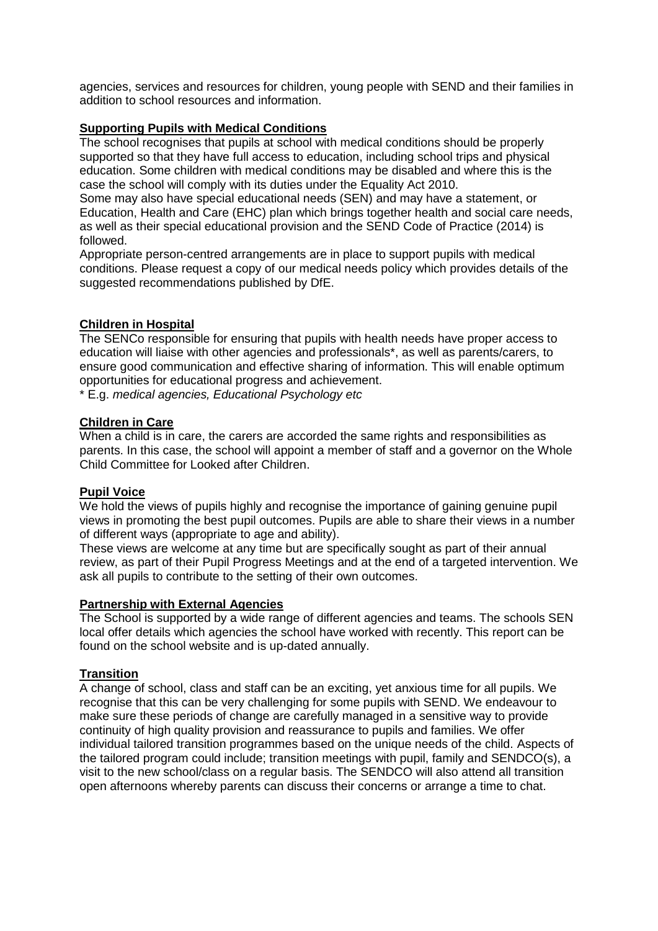agencies, services and resources for children, young people with SEND and their families in addition to school resources and information.

#### **Supporting Pupils with Medical Conditions**

The school recognises that pupils at school with medical conditions should be properly supported so that they have full access to education, including school trips and physical education. Some children with medical conditions may be disabled and where this is the case the school will comply with its duties under the Equality Act 2010.

Some may also have special educational needs (SEN) and may have a statement, or Education, Health and Care (EHC) plan which brings together health and social care needs, as well as their special educational provision and the SEND Code of Practice (2014) is followed.

Appropriate person-centred arrangements are in place to support pupils with medical conditions. Please request a copy of our medical needs policy which provides details of the suggested recommendations published by DfE.

#### **Children in Hospital**

The SENCo responsible for ensuring that pupils with health needs have proper access to education will liaise with other agencies and professionals\*, as well as parents/carers, to ensure good communication and effective sharing of information. This will enable optimum opportunities for educational progress and achievement.

\* E.g. *medical agencies, Educational Psychology etc*

#### **Children in Care**

When a child is in care, the carers are accorded the same rights and responsibilities as parents. In this case, the school will appoint a member of staff and a governor on the Whole Child Committee for Looked after Children.

#### **Pupil Voice**

We hold the views of pupils highly and recognise the importance of gaining genuine pupil views in promoting the best pupil outcomes. Pupils are able to share their views in a number of different ways (appropriate to age and ability).

These views are welcome at any time but are specifically sought as part of their annual review, as part of their Pupil Progress Meetings and at the end of a targeted intervention. We ask all pupils to contribute to the setting of their own outcomes.

#### **Partnership with External Agencies**

The School is supported by a wide range of different agencies and teams. The schools SEN local offer details which agencies the school have worked with recently. This report can be found on the school website and is up-dated annually.

#### **Transition**

A change of school, class and staff can be an exciting, yet anxious time for all pupils. We recognise that this can be very challenging for some pupils with SEND. We endeavour to make sure these periods of change are carefully managed in a sensitive way to provide continuity of high quality provision and reassurance to pupils and families. We offer individual tailored transition programmes based on the unique needs of the child. Aspects of the tailored program could include; transition meetings with pupil, family and SENDCO(s), a visit to the new school/class on a regular basis. The SENDCO will also attend all transition open afternoons whereby parents can discuss their concerns or arrange a time to chat.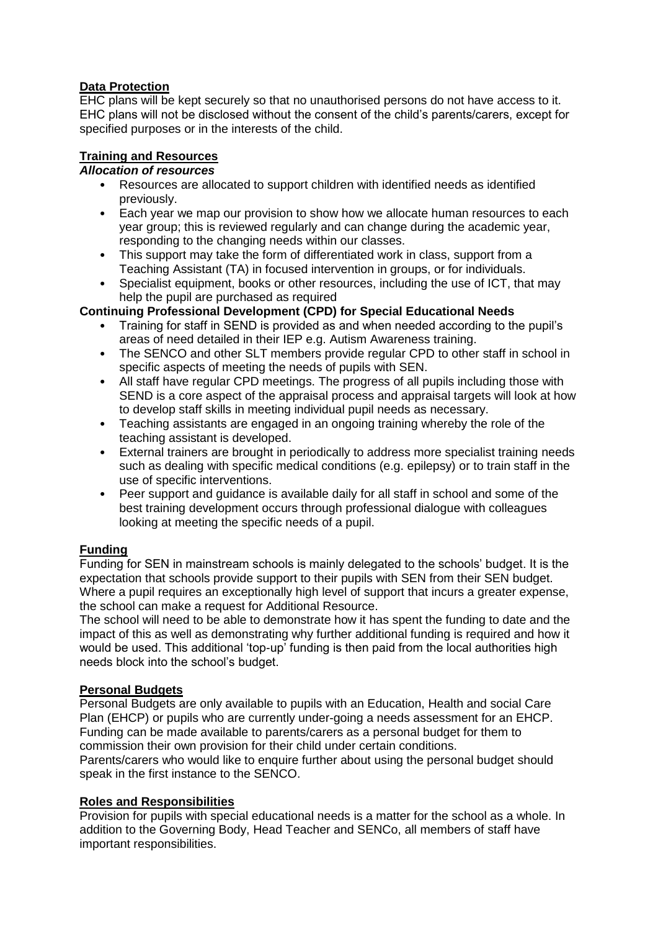# **Data Protection**

EHC plans will be kept securely so that no unauthorised persons do not have access to it. EHC plans will not be disclosed without the consent of the child's parents/carers, except for specified purposes or in the interests of the child.

# **Training and Resources**

# *Allocation of resources*

- Resources are allocated to support children with identified needs as identified previously.
- Each year we map our provision to show how we allocate human resources to each year group; this is reviewed regularly and can change during the academic year, responding to the changing needs within our classes.
- This support may take the form of differentiated work in class, support from a Teaching Assistant (TA) in focused intervention in groups, or for individuals.
- Specialist equipment, books or other resources, including the use of ICT, that may help the pupil are purchased as required

# **Continuing Professional Development (CPD) for Special Educational Needs**

- Training for staff in SEND is provided as and when needed according to the pupil's areas of need detailed in their IEP e.g. Autism Awareness training.
- The SENCO and other SLT members provide regular CPD to other staff in school in specific aspects of meeting the needs of pupils with SEN.
- All staff have regular CPD meetings. The progress of all pupils including those with SEND is a core aspect of the appraisal process and appraisal targets will look at how to develop staff skills in meeting individual pupil needs as necessary.
- Teaching assistants are engaged in an ongoing training whereby the role of the teaching assistant is developed.
- External trainers are brought in periodically to address more specialist training needs such as dealing with specific medical conditions (e.g. epilepsy) or to train staff in the use of specific interventions.
- Peer support and quidance is available daily for all staff in school and some of the best training development occurs through professional dialogue with colleagues looking at meeting the specific needs of a pupil.

# **Funding**

Funding for SEN in mainstream schools is mainly delegated to the schools' budget. It is the expectation that schools provide support to their pupils with SEN from their SEN budget. Where a pupil requires an exceptionally high level of support that incurs a greater expense, the school can make a request for Additional Resource.

The school will need to be able to demonstrate how it has spent the funding to date and the impact of this as well as demonstrating why further additional funding is required and how it would be used. This additional 'top-up' funding is then paid from the local authorities high needs block into the school's budget.

# **Personal Budgets**

Personal Budgets are only available to pupils with an Education, Health and social Care Plan (EHCP) or pupils who are currently under-going a needs assessment for an EHCP. Funding can be made available to parents/carers as a personal budget for them to commission their own provision for their child under certain conditions.

Parents/carers who would like to enquire further about using the personal budget should speak in the first instance to the SENCO.

# **Roles and Responsibilities**

Provision for pupils with special educational needs is a matter for the school as a whole. In addition to the Governing Body, Head Teacher and SENCo, all members of staff have important responsibilities.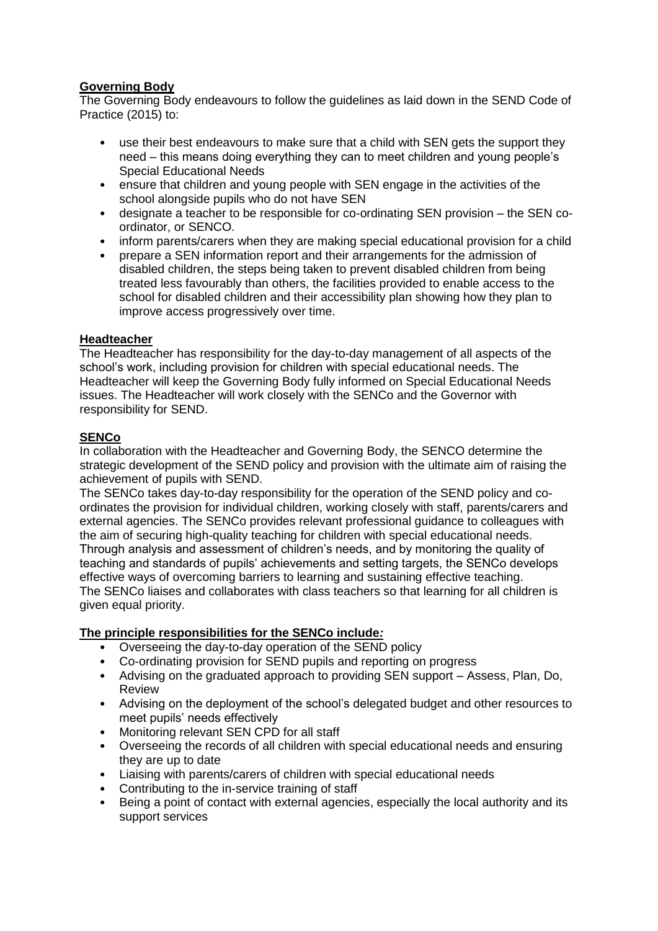# **Governing Body**

The Governing Body endeavours to follow the guidelines as laid down in the SEND Code of Practice (2015) to:

- use their best endeavours to make sure that a child with SEN gets the support they need – this means doing everything they can to meet children and young people's Special Educational Needs
- ensure that children and young people with SEN engage in the activities of the school alongside pupils who do not have SEN
- designate a teacher to be responsible for co-ordinating SEN provision the SEN coordinator, or SENCO.
- inform parents/carers when they are making special educational provision for a child
- prepare a SEN information report and their arrangements for the admission of disabled children, the steps being taken to prevent disabled children from being treated less favourably than others, the facilities provided to enable access to the school for disabled children and their accessibility plan showing how they plan to improve access progressively over time.

#### **Headteacher**

The Headteacher has responsibility for the day-to-day management of all aspects of the school's work, including provision for children with special educational needs. The Headteacher will keep the Governing Body fully informed on Special Educational Needs issues. The Headteacher will work closely with the SENCo and the Governor with responsibility for SEND.

# **SENCo**

In collaboration with the Headteacher and Governing Body, the SENCO determine the strategic development of the SEND policy and provision with the ultimate aim of raising the achievement of pupils with SEND.

The SENCo takes day-to-day responsibility for the operation of the SEND policy and coordinates the provision for individual children, working closely with staff, parents/carers and external agencies. The SENCo provides relevant professional guidance to colleagues with the aim of securing high-quality teaching for children with special educational needs. Through analysis and assessment of children's needs, and by monitoring the quality of teaching and standards of pupils' achievements and setting targets, the SENCo develops effective ways of overcoming barriers to learning and sustaining effective teaching. The SENCo liaises and collaborates with class teachers so that learning for all children is given equal priority.

#### **The principle responsibilities for the SENCo include***:*

- Overseeing the day-to-day operation of the SEND policy
- Co-ordinating provision for SEND pupils and reporting on progress
- Advising on the graduated approach to providing SEN support Assess, Plan, Do, Review
- Advising on the deployment of the school's delegated budget and other resources to meet pupils' needs effectively
- Monitoring relevant SEN CPD for all staff
- Overseeing the records of all children with special educational needs and ensuring they are up to date
- Liaising with parents/carers of children with special educational needs
- Contributing to the in-service training of staff
- Being a point of contact with external agencies, especially the local authority and its support services